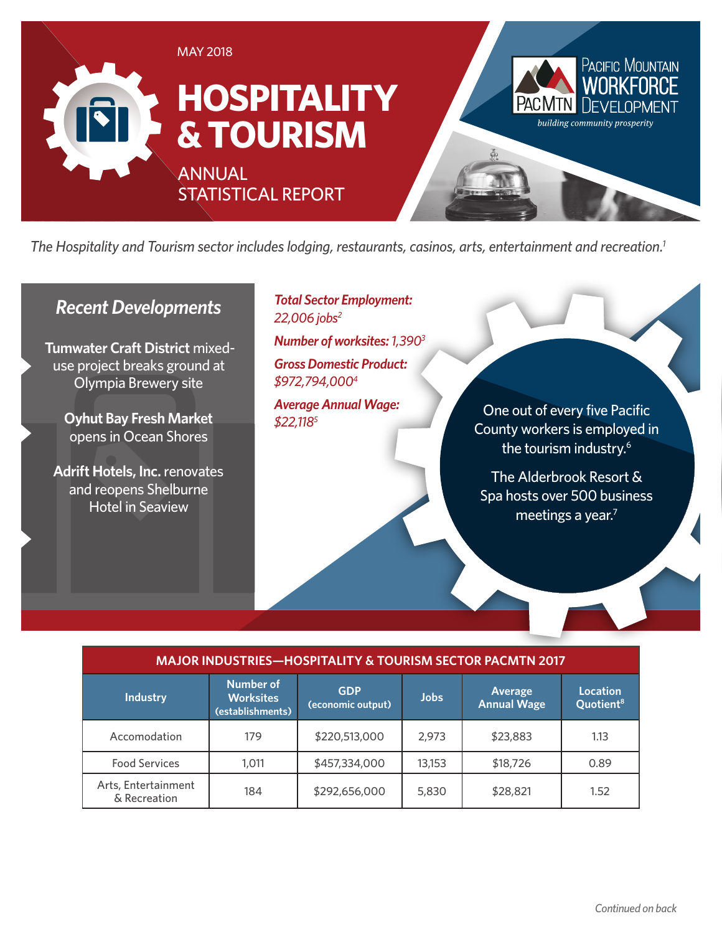

*The Hospitality and Tourism sector includes lodging, restaurants, casinos, arts, entertainment and recreation.1*

### *Recent Developments*

**Tumwater Craft District** mixeduse project breaks ground at Olympia Brewery site

> **Oyhut Bay Fresh Market** opens in Ocean Shores

**Adrift Hotels, Inc.** renovates and reopens Shelburne Hotel in Seaview

*Total Sector Employment: 22,006 jobs2*

*Number of worksites: 1,3903*

*Gross Domestic Product: \$972,794,0004*

*Average Annual Wage: \$22,1185*

One out of every five Pacific County workers is employed in the tourism industry.<sup>6</sup>

The Alderbrook Resort & Spa hosts over 500 business meetings a year.<sup>7</sup>

| / MAJOR INDUSTRIES—HOSPITALITY & TOURISM SECTOR PACMTN 2017 |  |
|-------------------------------------------------------------|--|
|                                                             |  |

| <b>Industry</b>                     | Number of<br><b>Worksites</b><br>(establishments) | <b>GDP</b><br>(economic output) | <b>Jobs</b> | Average<br><b>Annual Wage</b> | Location<br>Quotient <sup>8</sup> |
|-------------------------------------|---------------------------------------------------|---------------------------------|-------------|-------------------------------|-----------------------------------|
| Accomodation                        | 179                                               | \$220,513,000                   | 2,973       | \$23,883                      | 1.13                              |
| <b>Food Services</b>                | 1.011                                             | \$457,334,000                   | 13,153      | \$18,726                      | 0.89                              |
| Arts, Entertainment<br>& Recreation | 184                                               | \$292,656,000                   | 5,830       | \$28,821                      | 1.52                              |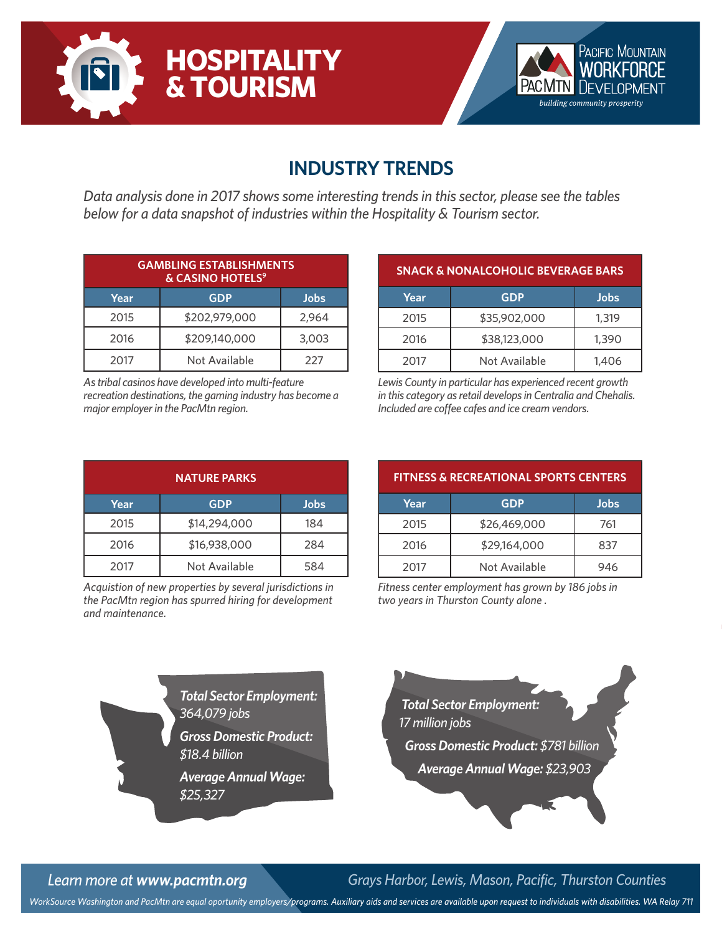



# **INDUSTRY TRENDS**

*Data analysis done in 2017 shows some interesting trends in this sector, please see the tables below for a data snapshot of industries within the Hospitality & Tourism sector.*

| <b>GAMBLING ESTABLISHMENTS</b><br>& CASINO HOTELS <sup>9</sup> |               |       |  |
|----------------------------------------------------------------|---------------|-------|--|
| Year                                                           | <b>GDP</b>    | Jobs  |  |
| 2015                                                           | \$202,979,000 | 2,964 |  |
| 2016                                                           | \$209,140,000 | 3,003 |  |
| 2017                                                           | Not Available | 227   |  |

*As tribal casinos have developed into multi-feature recreation destinations, the gaming industry has become a major employer in the PacMtn region.*

| <b>SNACK &amp; NONALCOHOLIC BEVERAGE BARS</b> |               |       |  |
|-----------------------------------------------|---------------|-------|--|
| Year                                          | <b>GDP</b>    | Jobs  |  |
| 2015                                          | \$35,902,000  | 1,319 |  |
| 2016                                          | \$38,123,000  | 1,390 |  |
| 2017                                          | Not Available | 1,406 |  |

*Lewis County in particular has experienced recent growth in this category as retail develops in Centralia and Chehalis. Included are coffee cafes and ice cream vendors.*

| <b>NATURE PARKS</b> |               |             |  |
|---------------------|---------------|-------------|--|
| Year                | <b>GDP</b>    | <b>Jobs</b> |  |
| 2015                | \$14,294,000  | 184         |  |
| 2016                | \$16,938,000  | 284         |  |
| 2017                | Not Available | 584         |  |

*Acquistion of new properties by several jurisdictions in the PacMtn region has spurred hiring for development and maintenance.*

| <b>FITNESS &amp; RECREATIONAL SPORTS CENTERS</b> |               |      |  |
|--------------------------------------------------|---------------|------|--|
| Year                                             | <b>GDP</b>    | Jobs |  |
| 2015                                             | \$26,469,000  | 761  |  |
| 2016                                             | \$29,164,000  | 837  |  |
| 2017                                             | Not Available | 946  |  |

*Fitness center employment has grown by 186 jobs in two years in Thurston County alone .*

*Total Sector Employment: 364,079 jobs Gross Domestic Product: \$18.4 billion Average Annual Wage:* 

*\$25,327*



*Learn more at www.pacmtn.org Grays Harbor, Lewis, Mason, Pacific, Thurston Counties*

*WorkSource Washington and PacMtn are equal oportunity employers/programs. Auxiliary aids and services are available upon request to individuals with disabilities. WA Relay 711*